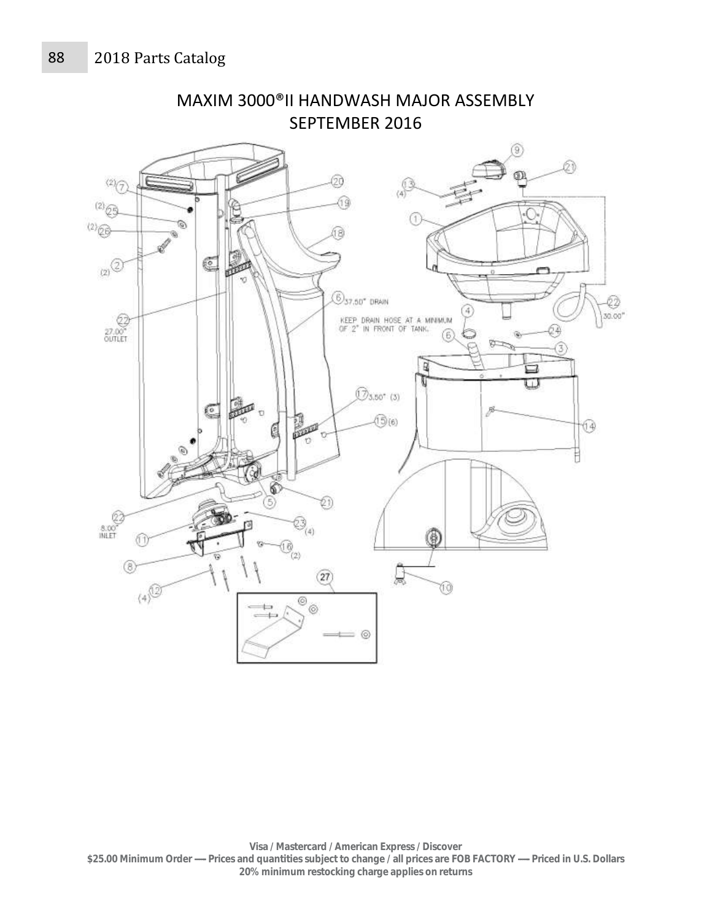

MAXIM 3000®II HANDWASH MAJOR ASSEMBLY SEPTEMBER 2016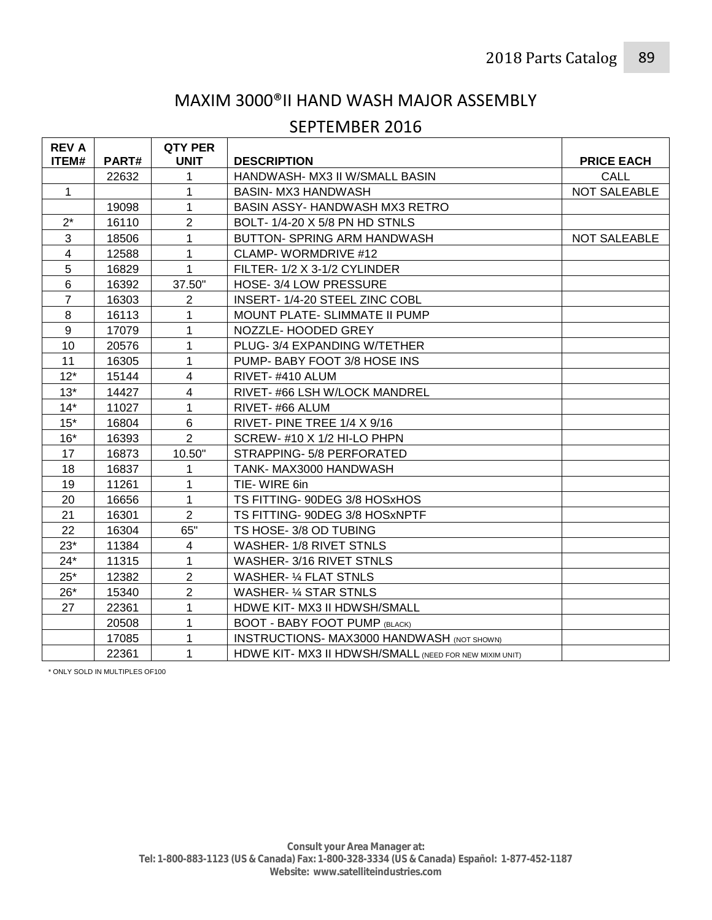### MAXIM 3000®II HAND WASH MAJOR ASSEMBLY

#### SEPTEMBER 2016

| <b>REV A</b>   |              | <b>QTY PER</b> |                                                        |                     |
|----------------|--------------|----------------|--------------------------------------------------------|---------------------|
| ITEM#          | <b>PART#</b> | <b>UNIT</b>    | <b>DESCRIPTION</b>                                     | <b>PRICE EACH</b>   |
|                | 22632        | 1              | HANDWASH- MX3 II W/SMALL BASIN                         | CALL                |
| $\mathbf{1}$   |              |                | BASIN- MX3 HANDWASH                                    | NOT SALEABLE        |
|                | 19098        | 1              | BASIN ASSY- HANDWASH MX3 RETRO                         |                     |
| $2^*$          | 16110        | $\overline{2}$ | BOLT-1/4-20 X 5/8 PN HD STNLS                          |                     |
| 3              | 18506        | 1              | <b>BUTTON- SPRING ARM HANDWASH</b>                     | <b>NOT SALEABLE</b> |
| $\overline{4}$ | 12588        | 1              | <b>CLAMP-WORMDRIVE #12</b>                             |                     |
| 5              | 16829        | 1              | FILTER-1/2 X 3-1/2 CYLINDER                            |                     |
| 6              | 16392        | 37.50"         | HOSE-3/4 LOW PRESSURE                                  |                     |
| $\overline{7}$ | 16303        | $\overline{2}$ | INSERT-1/4-20 STEEL ZINC COBL                          |                     |
| 8              | 16113        | 1              | MOUNT PLATE- SLIMMATE II PUMP                          |                     |
| $9\,$          | 17079        | 1              | NOZZLE- HOODED GREY                                    |                     |
| 10             | 20576        | 1              | PLUG-3/4 EXPANDING W/TETHER                            |                     |
| 11             | 16305        | 1              | PUMP- BABY FOOT 3/8 HOSE INS                           |                     |
| $12*$          | 15144        | 4              | RIVET-#410 ALUM                                        |                     |
| $13*$          | 14427        | $\overline{4}$ | RIVET-#66 LSH W/LOCK MANDREL                           |                     |
| $14*$          | 11027        | 1              | RIVET-#66 ALUM                                         |                     |
| $15*$          | 16804        | 6              | RIVET- PINE TREE 1/4 X 9/16                            |                     |
| $16*$          | 16393        | $\overline{2}$ | SCREW-#10 X 1/2 HI-LO PHPN                             |                     |
| 17             | 16873        | 10.50"         | STRAPPING-5/8 PERFORATED                               |                     |
| 18             | 16837        | 1              | TANK-MAX3000 HANDWASH                                  |                     |
| 19             | 11261        | 1              | TIE-WIRE 6in                                           |                     |
| 20             | 16656        | 1              | TS FITTING-90DEG 3/8 HOSxHOS                           |                     |
| 21             | 16301        | $\overline{2}$ | TS FITTING- 90DEG 3/8 HOSxNPTF                         |                     |
| 22             | 16304        | 65"            | TS HOSE- 3/8 OD TUBING                                 |                     |
| $23*$          | 11384        | $\overline{4}$ | WASHER-1/8 RIVET STNLS                                 |                     |
| $24*$          | 11315        | 1              | WASHER-3/16 RIVET STNLS                                |                     |
| $25*$          | 12382        | $\overline{2}$ | <b>WASHER- 1/4 FLAT STNLS</b>                          |                     |
| $26*$          | 15340        | $\overline{2}$ | WASHER- 1/4 STAR STNLS                                 |                     |
| 27             | 22361        | 1              | HDWE KIT- MX3 II HDWSH/SMALL                           |                     |
|                | 20508        | 1              | <b>BOOT - BABY FOOT PUMP (BLACK)</b>                   |                     |
|                | 17085        | 1              | <b>INSTRUCTIONS- MAX3000 HANDWASH (NOT SHOWN)</b>      |                     |
|                | 22361        | 1              | HDWE KIT- MX3 II HDWSH/SMALL (NEED FOR NEW MIXIM UNIT) |                     |

\* ONLY SOLD IN MULTIPLES OF100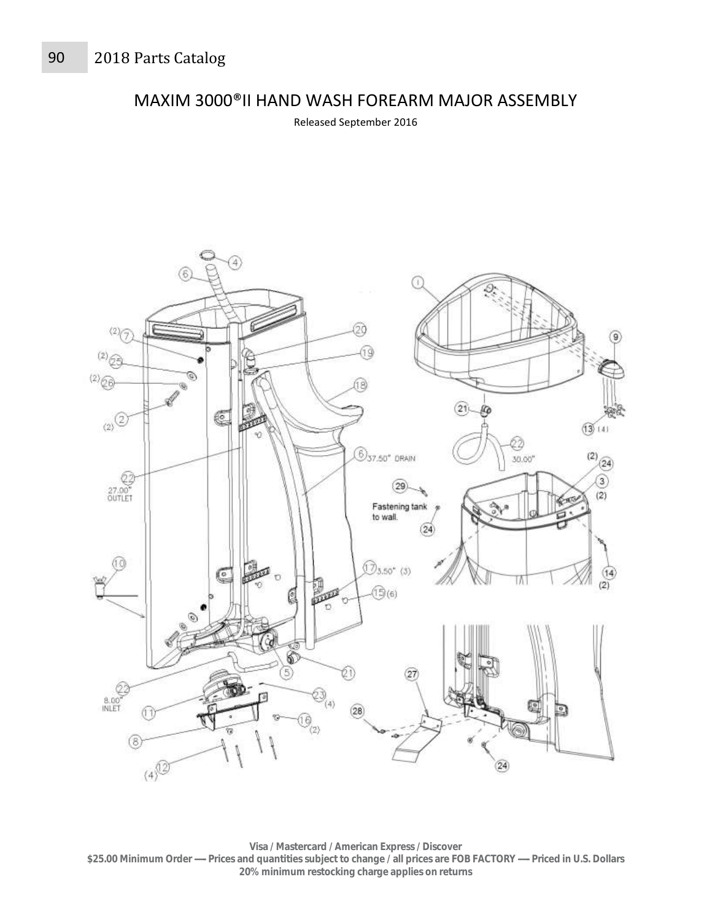MAXIM 3000®II HAND WASH FOREARM MAJOR ASSEMBLY

Released September 2016



**Visa / Mastercard / American Express / Discover \$25.00 Minimum Order ----- Prices and quantities subject to change / all prices are FOB FACTORY ----- Priced in U.S. Dollars 20% minimum restocking charge applies on returns**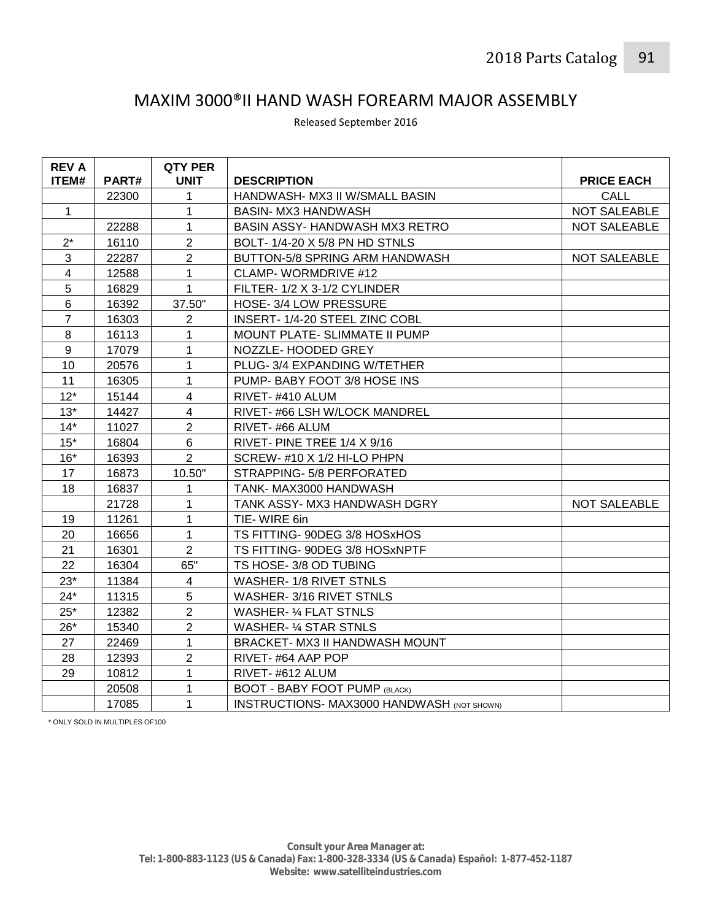## MAXIM 3000®II HAND WASH FOREARM MAJOR ASSEMBLY

| <b>REV A</b><br>ITEM# | PART# | QTY PER<br><b>UNIT</b>  | <b>DESCRIPTION</b>                                | <b>PRICE EACH</b>   |
|-----------------------|-------|-------------------------|---------------------------------------------------|---------------------|
|                       | 22300 | 1                       | HANDWASH- MX3 II W/SMALL BASIN                    | CALL                |
| $\mathbf{1}$          |       | 1                       | <b>BASIN- MX3 HANDWASH</b>                        | <b>NOT SALEABLE</b> |
|                       | 22288 | $\mathbf{1}$            | <b>BASIN ASSY- HANDWASH MX3 RETRO</b>             | <b>NOT SALEABLE</b> |
| $2^*$                 | 16110 | $\overline{2}$          | BOLT-1/4-20 X 5/8 PN HD STNLS                     |                     |
| 3                     | 22287 | $\overline{2}$          | BUTTON-5/8 SPRING ARM HANDWASH                    | NOT SALEABLE        |
| $\overline{4}$        | 12588 | $\mathbf{1}$            | <b>CLAMP-WORMDRIVE #12</b>                        |                     |
| 5                     | 16829 | $\mathbf{1}$            | FILTER-1/2 X 3-1/2 CYLINDER                       |                     |
| 6                     | 16392 | 37.50"                  | HOSE-3/4 LOW PRESSURE                             |                     |
| $\overline{7}$        | 16303 | $\overline{2}$          | INSERT-1/4-20 STEEL ZINC COBL                     |                     |
| 8                     | 16113 | 1                       | MOUNT PLATE- SLIMMATE II PUMP                     |                     |
| 9                     | 17079 | $\mathbf{1}$            | NOZZLE- HOODED GREY                               |                     |
| 10                    | 20576 | 1                       | PLUG-3/4 EXPANDING W/TETHER                       |                     |
| 11                    | 16305 | 1                       | PUMP- BABY FOOT 3/8 HOSE INS                      |                     |
| $12*$                 | 15144 | $\overline{4}$          | RIVET-#410 ALUM                                   |                     |
| $13*$                 | 14427 | $\overline{\mathbf{4}}$ | RIVET-#66 LSH W/LOCK MANDREL                      |                     |
| $14*$                 | 11027 | $\overline{2}$          | RIVET-#66 ALUM                                    |                     |
| $15*$                 | 16804 | 6                       | RIVET- PINE TREE 1/4 X 9/16                       |                     |
| $16*$                 | 16393 | $\overline{2}$          | SCREW-#10 X 1/2 HI-LO PHPN                        |                     |
| 17                    | 16873 | 10.50"                  | STRAPPING- 5/8 PERFORATED                         |                     |
| 18                    | 16837 | 1                       | TANK-MAX3000 HANDWASH                             |                     |
|                       | 21728 | $\mathbf{1}$            | TANK ASSY- MX3 HANDWASH DGRY                      | NOT SALEABLE        |
| 19                    | 11261 | $\mathbf{1}$            | TIE-WIRE 6in                                      |                     |
| 20                    | 16656 | $\mathbf{1}$            | TS FITTING- 90DEG 3/8 HOSxHOS                     |                     |
| 21                    | 16301 | $\overline{2}$          | TS FITTING-90DEG 3/8 HOSxNPTF                     |                     |
| 22                    | 16304 | 65"                     | TS HOSE-3/8 OD TUBING                             |                     |
| $23*$                 | 11384 | 4                       | WASHER-1/8 RIVET STNLS                            |                     |
| $24*$                 | 11315 | 5                       | WASHER-3/16 RIVET STNLS                           |                     |
| $25*$                 | 12382 | $\overline{2}$          | <b>WASHER- 1/4 FLAT STNLS</b>                     |                     |
| $26*$                 | 15340 | $\overline{2}$          | <b>WASHER- 1/4 STAR STNLS</b>                     |                     |
| 27                    | 22469 | $\mathbf{1}$            | BRACKET- MX3 II HANDWASH MOUNT                    |                     |
| 28                    | 12393 | $\overline{2}$          | RIVET-#64 AAP POP                                 |                     |
| 29                    | 10812 | $\mathbf 1$             | RIVET-#612 ALUM                                   |                     |
|                       | 20508 | $\mathbf{1}$            | <b>BOOT - BABY FOOT PUMP (BLACK)</b>              |                     |
|                       | 17085 | 1                       | <b>INSTRUCTIONS- MAX3000 HANDWASH (NOT SHOWN)</b> |                     |

Released September 2016

\* ONLY SOLD IN MULTIPLES OF100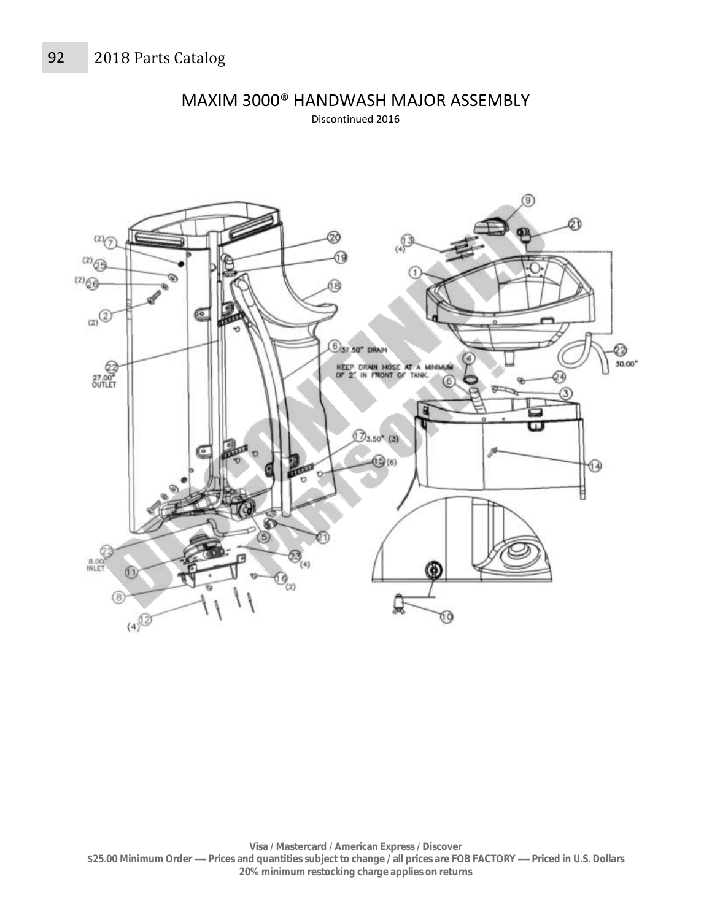

MAXIM 3000® HANDWASH MAJOR ASSEMBLY

Discontinued 2016